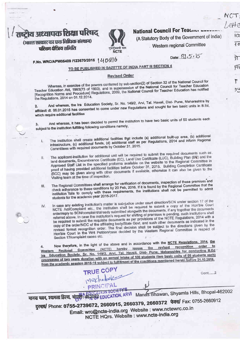|                                  |             |                                               | eHe             |
|----------------------------------|-------------|-----------------------------------------------|-----------------|
| ष्ट्रीय अध्यापक शिक्षा परिषद्    |             | National Council For Teacher Lungwood         |                 |
| (भारत सरकार का एक विधिक संस्थान) |             | (A Statutory Body of the Government of India) | ١C              |
| परिचम क्षेत्रिय समिति            |             | Western regional Committee                    | $\overline{40}$ |
|                                  | <b>NCTE</b> |                                               |                 |

| No MPC/APW05409 /123670/2015   UD 200 |  |  |  |
|---------------------------------------|--|--|--|

 $\mathbf{L}$ 

Date: 31,5,15

গ

FĨ

٢

りこ

TO BE PUBLISHED IN GAZETTE OF INDIA PART III SECTION 4

## **Revised Order**

Whereas, in exercise of the powers conferred by sub-section(2) of Section 32 of the National Council for Teacher Education Act, 1993(73 of 1993), and in supersession of the National Council for Teacher Education [Recognition Norms and Procedure] Regulations, 2009, the National Council for Teacher Education has notified the Regulations, 2014 on 01.12.2014.

And whereas, the Ira Education Society, Sr. No. 149/2, Arvi, Tal. Havali, Dist- Pune, Maharashtra by affidavit dt. 06.01.2015 has consented to come under new Regulations and sought for two basic units in B.Ed. which require additional facilities

And whereas, it has been decided to permit the institution to have two basic units of 50 students each  $3.$ subject to the institution fulfilling following conditions namely,

- The institution shall create additional facilities that include (a) additional built-up area, (b) additional infrastructure, (c) additional funds, (d) additional staff as per Regulations, 2014 and inform Regional Committees with required documents by October 31, 2015.
- The applicant-institution for additional unit will be required to submit the required documents such as land documents, Encumbrance Certificate (EC), Land Use Certificate (LUC), Building Plan (BR) and the II. Approved Staff List in the specified proforma available on the website to the Regional Committee in proof of having provided additional facilities before October 31, 2015. Building Completion Certificate (BCC) may be given along with other documents if available, otherwise it can also be given to the Visiting team at the time of inspection.
- The Regional Committees shall arrange for verification of documents, inspection of these premises and check adherence to these conditions by 20 Feb, 2016. If it is found by the Regional Committee that the III. institution fails to comply with these requirements, the institutions shall not be permitted to admit students for the academic year 2016-2017.
- In case any existing institution's matter is sub-judice under court direction/SCN under section 17 of the NCTE Act/Complaint etc., the institution shall be required to submit a copy of the Hon'ble Court IV. order/reply to SCN/complaint/already submitted alongwith the documents, if any together the documents referred above. In case the institution's request for shifting of premises is pending, such institutions shall be required to submit the requisite documents as per provisions of the NCTE Regulations, 2014 with a copy of the order/NOC of the affiliating body/State Govt. and such other documents as indicated in the revised format recognition order. The final decision shall be subject to the directions given by the Hon'ble Court in the Writ Petition/case decided by the Western Regional Committee in respect of Section 17/complaint cases etc.

Now therefore, in the light of the above and in accordance with the NCTE Regulations, 2014, the Regional Committee (NCTE) hereby issues the revised recognition order to А. Education Society, Sr. No. 149/2. Arvi, Tal. Havall, Dist- Pune, Maharashtra for conducting B.Ed Western programme of two years duration with an annual intake of 100 students (two basic units of 50 students each) from the academic session 2015-16 subject to fulfillment of the conditions mentioned herein before 31.10.2015.

TRUE COPY · PRINCIPAL

Cont......2

HITTLE HOLD SOCIETY'S HITTLE HOLD AND SOCIETY'S THE MAIN SPORT OF THE MAIN SHOP AND HILLS, Bhopal-462002 दुरमार्ष/ Phone: 0755-2739672, 2660915, 2660379, 2660372 फेक्स/ Fax: 0755-2660912 Email: wrc@ncte-india.org Website : www.nctewrc.co.in NCTE HQrs. Website : www.ncte-india.org